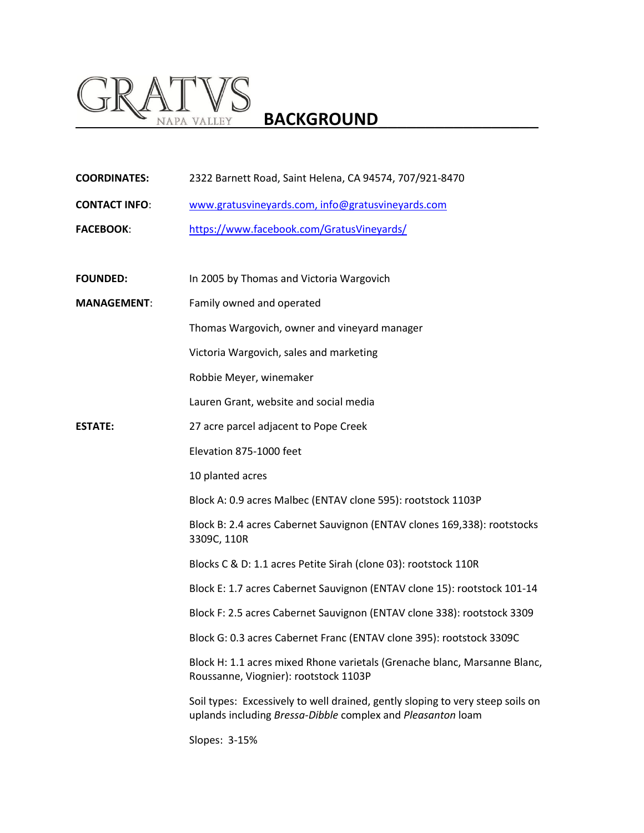## **GRATVS**<br>BACKGROUND

| <b>COORDINATES:</b>  | 2322 Barnett Road, Saint Helena, CA 94574, 707/921-8470                                                                                       |
|----------------------|-----------------------------------------------------------------------------------------------------------------------------------------------|
| <b>CONTACT INFO:</b> | www.gratusvineyards.com, info@gratusvineyards.com                                                                                             |
| <b>FACEBOOK:</b>     | https://www.facebook.com/GratusVineyards/                                                                                                     |
|                      |                                                                                                                                               |
| <b>FOUNDED:</b>      | In 2005 by Thomas and Victoria Wargovich                                                                                                      |
| <b>MANAGEMENT:</b>   | Family owned and operated                                                                                                                     |
|                      | Thomas Wargovich, owner and vineyard manager                                                                                                  |
|                      | Victoria Wargovich, sales and marketing                                                                                                       |
|                      | Robbie Meyer, winemaker                                                                                                                       |
|                      | Lauren Grant, website and social media                                                                                                        |
| <b>ESTATE:</b>       | 27 acre parcel adjacent to Pope Creek                                                                                                         |
|                      | Elevation 875-1000 feet                                                                                                                       |
|                      | 10 planted acres                                                                                                                              |
|                      | Block A: 0.9 acres Malbec (ENTAV clone 595): rootstock 1103P                                                                                  |
|                      | Block B: 2.4 acres Cabernet Sauvignon (ENTAV clones 169,338): rootstocks<br>3309C, 110R                                                       |
|                      | Blocks C & D: 1.1 acres Petite Sirah (clone 03): rootstock 110R                                                                               |
|                      | Block E: 1.7 acres Cabernet Sauvignon (ENTAV clone 15): rootstock 101-14                                                                      |
|                      | Block F: 2.5 acres Cabernet Sauvignon (ENTAV clone 338): rootstock 3309                                                                       |
|                      | Block G: 0.3 acres Cabernet Franc (ENTAV clone 395): rootstock 3309C                                                                          |
|                      | Block H: 1.1 acres mixed Rhone varietals (Grenache blanc, Marsanne Blanc,<br>Roussanne, Viognier): rootstock 1103P                            |
|                      | Soil types: Excessively to well drained, gently sloping to very steep soils on<br>uplands including Bressa-Dibble complex and Pleasanton loam |
|                      | Slopes: 3-15%                                                                                                                                 |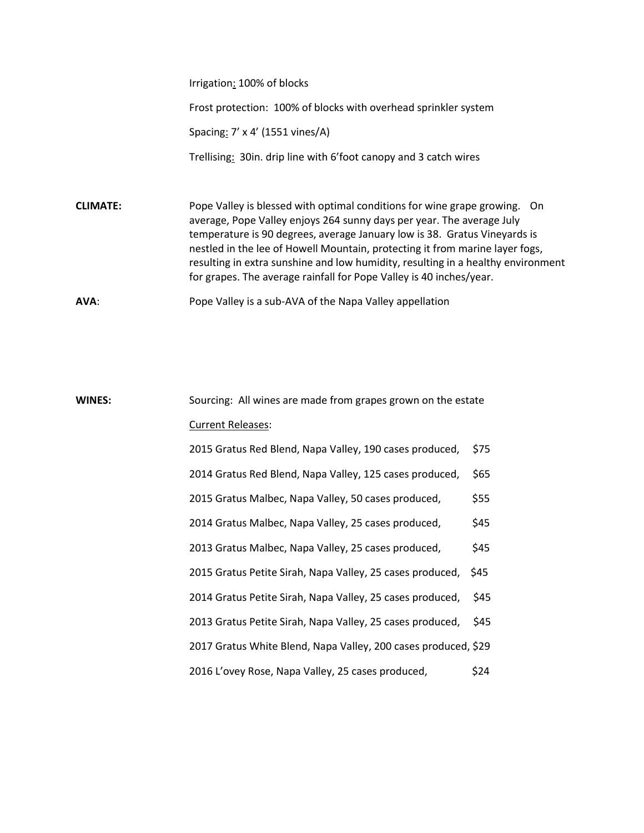Irrigation: 100% of blocks

Frost protection: 100% of blocks with overhead sprinkler system

Spacing: 7' x 4' (1551 vines/A)

Trellising: 30in. drip line with 6'foot canopy and 3 catch wires

**CLIMATE:** Pope Valley is blessed with optimal conditions for wine grape growing. On average, Pope Valley enjoys 264 sunny days per year. The average July temperature is 90 degrees, average January low is 38. Gratus Vineyards is nestled in the lee of Howell Mountain, protecting it from marine layer fogs, resulting in extra sunshine and low humidity, resulting in a healthy environment for grapes. The average rainfall for Pope Valley is 40 inches/year.

**AVA**: Pope Valley is a sub-AVA of the Napa Valley appellation

## **WINES:** Sourcing: All wines are made from grapes grown on the estate Current Releases: 2015 Gratus Red Blend, Napa Valley, 190 cases produced, \$75 2014 Gratus Red Blend, Napa Valley, 125 cases produced, \$65 2015 Gratus Malbec, Napa Valley, 50 cases produced, \$55 2014 Gratus Malbec, Napa Valley, 25 cases produced, \$45 2013 Gratus Malbec, Napa Valley, 25 cases produced, \$45 2015 Gratus Petite Sirah, Napa Valley, 25 cases produced, \$45 2014 Gratus Petite Sirah, Napa Valley, 25 cases produced, \$45 2013 Gratus Petite Sirah, Napa Valley, 25 cases produced, \$45 2017 Gratus White Blend, Napa Valley, 200 cases produced, \$29 2016 L'ovey Rose, Napa Valley, 25 cases produced, \$24